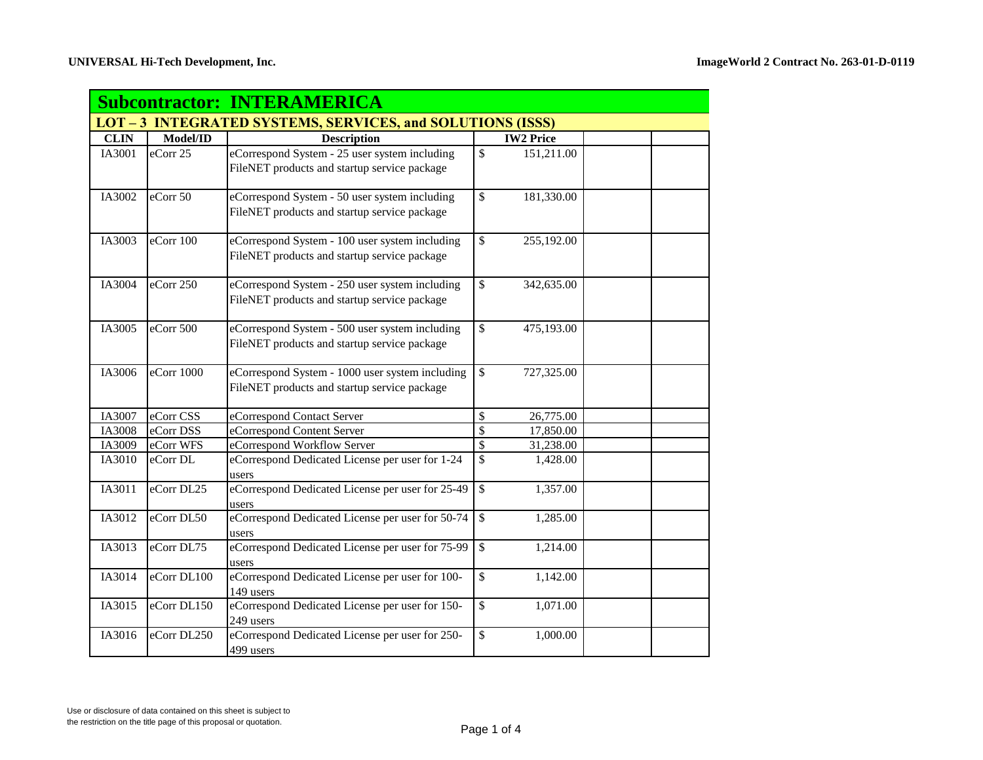| <b>Subcontractor: INTERAMERICA</b>                                |             |                                                                                                 |                          |                  |  |  |
|-------------------------------------------------------------------|-------------|-------------------------------------------------------------------------------------------------|--------------------------|------------------|--|--|
| <b>LOT - 3 INTEGRATED SYSTEMS, SERVICES, and SOLUTIONS (ISSS)</b> |             |                                                                                                 |                          |                  |  |  |
| <b>CLIN</b>                                                       | Model/ID    | <b>Description</b>                                                                              |                          | <b>IW2 Price</b> |  |  |
| IA3001                                                            | eCorr 25    | eCorrespond System - 25 user system including<br>FileNET products and startup service package   | $\mathbb{S}$             | 151,211.00       |  |  |
| IA3002                                                            | eCorr 50    | eCorrespond System - 50 user system including<br>FileNET products and startup service package   | \$                       | 181,330.00       |  |  |
| IA3003                                                            | eCorr 100   | eCorrespond System - 100 user system including<br>FileNET products and startup service package  | $\mathbb{S}$             | 255,192.00       |  |  |
| IA3004                                                            | eCorr 250   | eCorrespond System - 250 user system including<br>FileNET products and startup service package  | \$                       | 342,635.00       |  |  |
| IA3005                                                            | eCorr 500   | eCorrespond System - 500 user system including<br>FileNET products and startup service package  | $\mathbb{S}$             | 475,193.00       |  |  |
| IA3006                                                            | eCorr 1000  | eCorrespond System - 1000 user system including<br>FileNET products and startup service package | $\overline{\mathcal{S}}$ | 727,325.00       |  |  |
| IA3007                                                            | eCorr CSS   | eCorrespond Contact Server                                                                      | \$                       | 26,775.00        |  |  |
| IA3008                                                            | eCorr DSS   | eCorrespond Content Server                                                                      | $\overline{\mathbb{S}}$  | 17,850.00        |  |  |
| IA3009                                                            | eCorr WFS   | eCorrespond Workflow Server                                                                     | \$                       | 31,238.00        |  |  |
| IA3010                                                            | eCorr DL    | eCorrespond Dedicated License per user for 1-24<br>users                                        | \$                       | 1,428.00         |  |  |
| IA3011                                                            | eCorr DL25  | eCorrespond Dedicated License per user for 25-49<br>users                                       | \$                       | 1,357.00         |  |  |
| IA3012                                                            | eCorr DL50  | eCorrespond Dedicated License per user for 50-74<br>users                                       | \$                       | 1,285.00         |  |  |
| IA3013                                                            | eCorr DL75  | eCorrespond Dedicated License per user for 75-99<br>users                                       | \$                       | 1,214.00         |  |  |
| IA3014                                                            | eCorr DL100 | eCorrespond Dedicated License per user for 100-<br>149 users                                    | \$                       | 1,142.00         |  |  |
| IA3015                                                            | eCorr DL150 | eCorrespond Dedicated License per user for 150-<br>249 users                                    | \$                       | 1,071.00         |  |  |
| IA3016                                                            | eCorr DL250 | eCorrespond Dedicated License per user for 250-<br>499 users                                    | \$                       | 1,000.00         |  |  |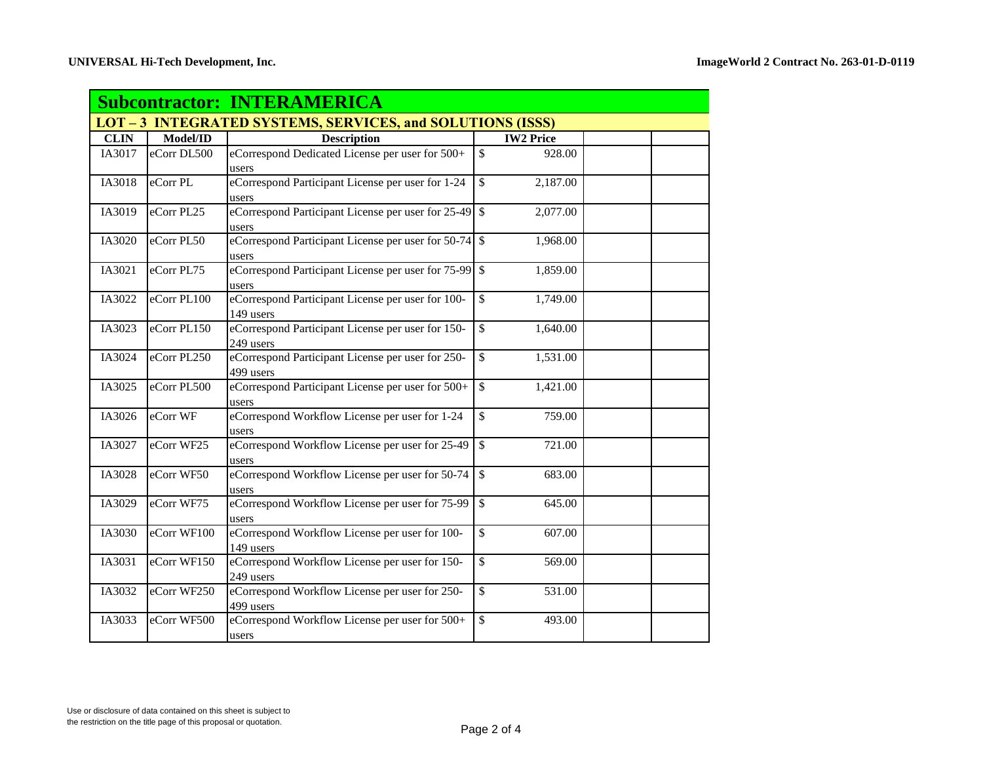| <b>Subcontractor: INTERAMERICA</b>                                |             |                                                                |                           |  |  |
|-------------------------------------------------------------------|-------------|----------------------------------------------------------------|---------------------------|--|--|
| <b>LOT - 3 INTEGRATED SYSTEMS, SERVICES, and SOLUTIONS (ISSS)</b> |             |                                                                |                           |  |  |
| <b>CLIN</b>                                                       | Model/ID    | <b>Description</b>                                             | <b>IW2 Price</b>          |  |  |
| IA3017                                                            | eCorr DL500 | eCorrespond Dedicated License per user for 500+                | \$<br>928.00              |  |  |
|                                                                   |             | users                                                          |                           |  |  |
| IA3018                                                            | eCorr PL    | eCorrespond Participant License per user for 1-24<br>users     | \$<br>2,187.00            |  |  |
| IA3019                                                            | eCorr PL25  | eCorrespond Participant License per user for 25-49             | $\mathbb{S}$<br>2,077.00  |  |  |
|                                                                   |             | users                                                          |                           |  |  |
| IA3020                                                            | eCorr PL50  | eCorrespond Participant License per user for 50-74<br>users    | $\mathcal{S}$<br>1,968.00 |  |  |
| IA3021                                                            | eCorr PL75  | eCorrespond Participant License per user for 75-99<br>users    | $\mathcal{S}$<br>1,859.00 |  |  |
| IA3022                                                            | eCorr PL100 | eCorrespond Participant License per user for 100-<br>149 users | \$<br>1,749.00            |  |  |
| IA3023                                                            | eCorr PL150 | eCorrespond Participant License per user for 150-<br>249 users | \$<br>1,640.00            |  |  |
| IA3024                                                            | eCorr PL250 | eCorrespond Participant License per user for 250-<br>499 users | $\mathcal{S}$<br>1,531.00 |  |  |
| IA3025                                                            | eCorr PL500 | eCorrespond Participant License per user for 500+<br>users     | $\mathcal{S}$<br>1,421.00 |  |  |
| IA3026                                                            | eCorr WF    | eCorrespond Workflow License per user for 1-24<br>users        | \$<br>759.00              |  |  |
| IA3027                                                            | eCorr WF25  | eCorrespond Workflow License per user for 25-49<br>users       | $\mathbb{S}$<br>721.00    |  |  |
| IA3028                                                            | eCorr WF50  | eCorrespond Workflow License per user for 50-74<br>users       | $\mathcal{S}$<br>683.00   |  |  |
| IA3029                                                            | eCorr WF75  | eCorrespond Workflow License per user for 75-99<br>users       | $\mathcal{S}$<br>645.00   |  |  |
| IA3030                                                            | eCorr WF100 | eCorrespond Workflow License per user for 100-<br>149 users    | $\mathsf{\$}$<br>607.00   |  |  |
| IA3031                                                            | eCorr WF150 | eCorrespond Workflow License per user for 150-<br>249 users    | \$<br>569.00              |  |  |
| IA3032                                                            | eCorr WF250 | eCorrespond Workflow License per user for 250-<br>499 users    | \$<br>531.00              |  |  |
| IA3033                                                            | eCorr WF500 | eCorrespond Workflow License per user for 500+<br>users        | $\mathbb{S}$<br>493.00    |  |  |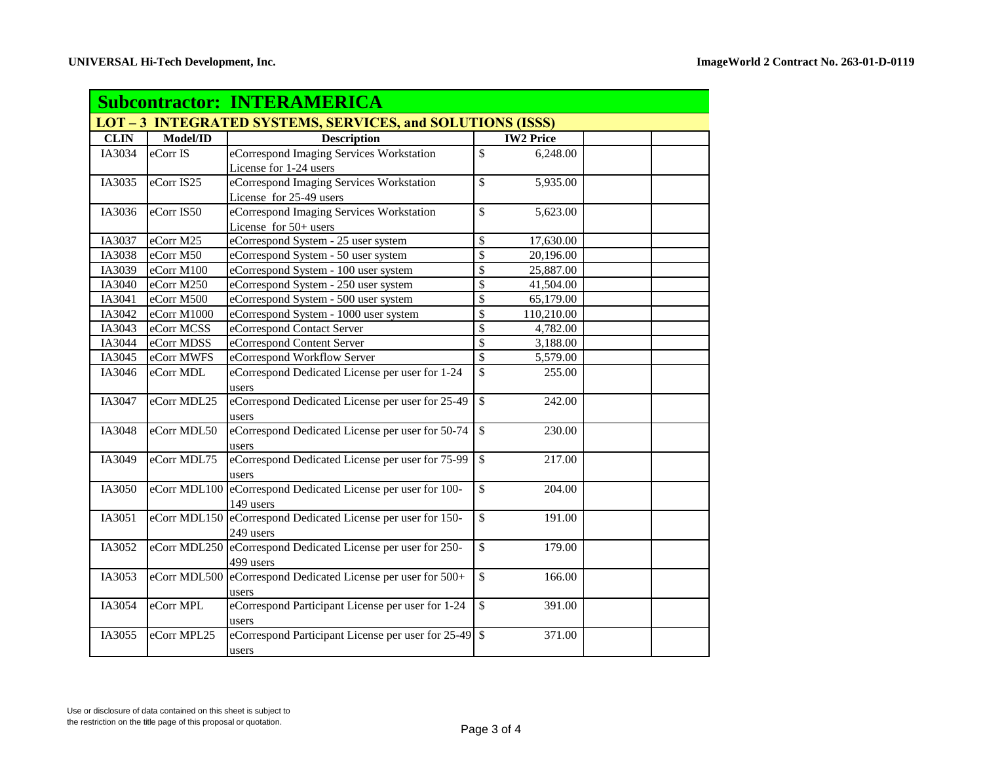| <b>Subcontractor: INTERAMERICA</b>                                |              |                                                              |                          |                  |  |  |
|-------------------------------------------------------------------|--------------|--------------------------------------------------------------|--------------------------|------------------|--|--|
| <b>LOT - 3 INTEGRATED SYSTEMS, SERVICES, and SOLUTIONS (ISSS)</b> |              |                                                              |                          |                  |  |  |
| <b>CLIN</b>                                                       | Model/ID     | <b>Description</b>                                           |                          | <b>IW2 Price</b> |  |  |
| IA3034                                                            | eCorr IS     | eCorrespond Imaging Services Workstation                     | \$                       | 6,248.00         |  |  |
|                                                                   |              | License for 1-24 users                                       |                          |                  |  |  |
| IA3035                                                            | eCorr IS25   | eCorrespond Imaging Services Workstation                     | \$                       | 5,935.00         |  |  |
|                                                                   |              | License for 25-49 users                                      |                          |                  |  |  |
| IA3036                                                            | eCorr IS50   | eCorrespond Imaging Services Workstation                     | \$                       | 5,623.00         |  |  |
|                                                                   |              | License for 50+ users                                        |                          |                  |  |  |
| IA3037                                                            | eCorr M25    | eCorrespond System - 25 user system                          | \$                       | 17,630.00        |  |  |
| IA3038                                                            | eCorr M50    | eCorrespond System - 50 user system                          | $\overline{\mathcal{S}}$ | 20,196.00        |  |  |
| IA3039                                                            | eCorr M100   | eCorrespond System - 100 user system                         | \$                       | 25,887.00        |  |  |
| IA3040                                                            | eCorr M250   | eCorrespond System - 250 user system                         | \$                       | 41,504.00        |  |  |
| IA3041                                                            | eCorr M500   | eCorrespond System - 500 user system                         | \$                       | 65,179.00        |  |  |
| IA3042                                                            | eCorr M1000  | eCorrespond System - 1000 user system                        | \$                       | 110,210.00       |  |  |
| IA3043                                                            | eCorr MCSS   | eCorrespond Contact Server                                   | \$                       | 4,782.00         |  |  |
| IA3044                                                            | eCorr MDSS   | eCorrespond Content Server                                   | \$                       | 3,188.00         |  |  |
| IA3045                                                            | eCorr MWFS   | eCorrespond Workflow Server                                  | \$                       | 5,579.00         |  |  |
| IA3046                                                            | eCorr MDL    | eCorrespond Dedicated License per user for 1-24              | \$                       | 255.00           |  |  |
|                                                                   |              | users                                                        |                          |                  |  |  |
| IA3047                                                            | eCorr MDL25  | eCorrespond Dedicated License per user for 25-49             | $\overline{\mathcal{S}}$ | 242.00           |  |  |
|                                                                   |              | users                                                        |                          |                  |  |  |
| IA3048                                                            | eCorr MDL50  | eCorrespond Dedicated License per user for 50-74             | \$                       | 230.00           |  |  |
|                                                                   |              | users                                                        |                          |                  |  |  |
| IA3049                                                            | eCorr MDL75  | eCorrespond Dedicated License per user for 75-99             | $\mathcal{S}$            | 217.00           |  |  |
|                                                                   |              | users                                                        |                          |                  |  |  |
| IA3050                                                            |              | eCorr MDL100 eCorrespond Dedicated License per user for 100- | \$                       | 204.00           |  |  |
|                                                                   |              | 149 users                                                    |                          |                  |  |  |
| IA3051                                                            |              | eCorr MDL150 eCorrespond Dedicated License per user for 150- | \$                       | 191.00           |  |  |
|                                                                   |              | 249 users                                                    |                          |                  |  |  |
| IA3052                                                            | eCorr MDL250 | eCorrespond Dedicated License per user for 250-              | \$                       | 179.00           |  |  |
|                                                                   |              | 499 users                                                    |                          |                  |  |  |
| IA3053                                                            |              | eCorr MDL500 eCorrespond Dedicated License per user for 500+ | $\mathcal{S}$            | 166.00           |  |  |
|                                                                   |              | users                                                        |                          |                  |  |  |
| IA3054                                                            | eCorr MPL    | eCorrespond Participant License per user for 1-24            | $\overline{\mathcal{S}}$ | 391.00           |  |  |
|                                                                   |              | users                                                        |                          |                  |  |  |
| IA3055                                                            | eCorr MPL25  | eCorrespond Participant License per user for 25-49           | $\sqrt{3}$               | 371.00           |  |  |
|                                                                   |              | users                                                        |                          |                  |  |  |